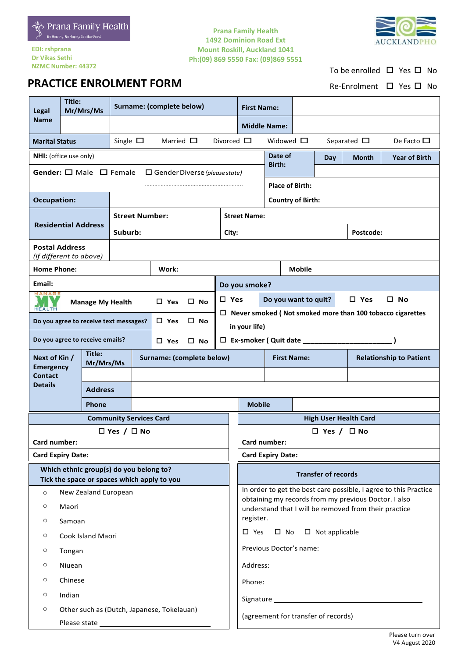

**PRACTICE ENROLMENT FORM** 

**EDI: rshprana Dr Vikas Sethi NZMC Number: 44372**

### **Prana Family Health 1492 Dominion Road Ext Mount Roskill, Auckland 1041 Ph:(09) 869 5550 Fax: (09)869 5551**



To be enrolled  $\Box$  Yes  $\Box$  No

Re-Enrolment □ Yes □ No

| Legal                                                                           | Title:<br>Mr/Mrs/Ms                                                                    |                                 | Surname: (complete below)              |                               |                                                                    |                                                                                                                          | <b>First Name:</b>                                                     |                                  |                      |                            |  |                                |  |
|---------------------------------------------------------------------------------|----------------------------------------------------------------------------------------|---------------------------------|----------------------------------------|-------------------------------|--------------------------------------------------------------------|--------------------------------------------------------------------------------------------------------------------------|------------------------------------------------------------------------|----------------------------------|----------------------|----------------------------|--|--------------------------------|--|
| <b>Name</b>                                                                     |                                                                                        |                                 |                                        |                               |                                                                    |                                                                                                                          |                                                                        | <b>Middle Name:</b>              |                      |                            |  |                                |  |
| Single $\square$<br>Married $\square$<br><b>Marital Status</b>                  |                                                                                        |                                 |                                        | Divorced $\square$            |                                                                    | Widowed $\square$                                                                                                        |                                                                        |                                  | Separated $\Box$     | De Facto $\square$         |  |                                |  |
| NHI: (office use only)                                                          |                                                                                        |                                 |                                        |                               | Date of                                                            |                                                                                                                          | Day                                                                    | <b>Month</b>                     | <b>Year of Birth</b> |                            |  |                                |  |
| Gender: $\square$ Male $\square$ Female<br>$\Box$ Gender Diverse (please state) |                                                                                        |                                 |                                        |                               |                                                                    | <b>Birth:</b>                                                                                                            |                                                                        |                                  |                      |                            |  |                                |  |
|                                                                                 |                                                                                        |                                 |                                        |                               | <b>Place of Birth:</b>                                             |                                                                                                                          |                                                                        |                                  |                      |                            |  |                                |  |
| <b>Occupation:</b>                                                              |                                                                                        |                                 |                                        |                               | <b>Country of Birth:</b>                                           |                                                                                                                          |                                                                        |                                  |                      |                            |  |                                |  |
|                                                                                 |                                                                                        |                                 |                                        | <b>Street Number:</b>         |                                                                    |                                                                                                                          |                                                                        | <b>Street Name:</b>              |                      |                            |  |                                |  |
| <b>Residential Address</b>                                                      |                                                                                        | Suburb:                         |                                        |                               |                                                                    | Postcode:<br>City:                                                                                                       |                                                                        |                                  |                      |                            |  |                                |  |
| <b>Postal Address</b><br>(if different to above)                                |                                                                                        |                                 |                                        |                               |                                                                    |                                                                                                                          |                                                                        |                                  |                      |                            |  |                                |  |
| <b>Home Phone:</b>                                                              |                                                                                        |                                 |                                        | Work:                         |                                                                    |                                                                                                                          |                                                                        | <b>Mobile</b>                    |                      |                            |  |                                |  |
| Email:                                                                          |                                                                                        |                                 |                                        |                               |                                                                    |                                                                                                                          | Do you smoke?                                                          |                                  |                      |                            |  |                                |  |
| MANAGE                                                                          |                                                                                        | <b>Manage My Health</b>         |                                        | $\square$ Yes                 | $\square$ No                                                       |                                                                                                                          | $\square$ No<br>$\square$ Yes<br>Do you want to quit?<br>$\square$ Yes |                                  |                      |                            |  |                                |  |
| <b>HEALTH</b>                                                                   |                                                                                        |                                 | Do you agree to receive text messages? | $\square$ Yes                 | $\square$ No                                                       |                                                                                                                          | $\Box$ Never smoked (Not smoked more than 100 tobacco cigarettes       |                                  |                      |                            |  |                                |  |
|                                                                                 |                                                                                        |                                 |                                        |                               |                                                                    |                                                                                                                          | in your life)                                                          |                                  |                      |                            |  |                                |  |
|                                                                                 |                                                                                        | Do you agree to receive emails? |                                        | $\square$ Yes<br>$\square$ No |                                                                    |                                                                                                                          |                                                                        | $\Box$ Ex-smoker (Quit date ____ |                      |                            |  |                                |  |
| Next of Kin /<br><b>Emergency</b>                                               | Title:<br>Mr/Mrs/Ms                                                                    |                                 |                                        | Surname: (complete below)     |                                                                    |                                                                                                                          |                                                                        |                                  | <b>First Name:</b>   |                            |  | <b>Relationship to Patient</b> |  |
| <b>Contact</b>                                                                  |                                                                                        |                                 |                                        |                               |                                                                    |                                                                                                                          |                                                                        |                                  |                      |                            |  |                                |  |
| <b>Details</b>                                                                  |                                                                                        | <b>Address</b>                  |                                        |                               |                                                                    |                                                                                                                          |                                                                        |                                  |                      |                            |  |                                |  |
| Phone                                                                           |                                                                                        |                                 |                                        | <b>Mobile</b>                 |                                                                    |                                                                                                                          |                                                                        |                                  |                      |                            |  |                                |  |
| <b>Community Services Card</b>                                                  |                                                                                        |                                 |                                        |                               |                                                                    | <b>High User Health Card</b>                                                                                             |                                                                        |                                  |                      |                            |  |                                |  |
| $\Box$ Yes / $\Box$ No                                                          |                                                                                        |                                 |                                        |                               |                                                                    | $\square$ No<br>$\Box$ Yes /<br>Card number:                                                                             |                                                                        |                                  |                      |                            |  |                                |  |
|                                                                                 | Card number:<br><b>Card Expiry Date:</b>                                               |                                 |                                        |                               |                                                                    |                                                                                                                          | <b>Card Expiry Date:</b>                                               |                                  |                      |                            |  |                                |  |
|                                                                                 |                                                                                        |                                 |                                        |                               |                                                                    |                                                                                                                          |                                                                        |                                  |                      |                            |  |                                |  |
|                                                                                 | Which ethnic group(s) do you belong to?<br>Tick the space or spaces which apply to you |                                 |                                        |                               |                                                                    |                                                                                                                          |                                                                        |                                  |                      | <b>Transfer of records</b> |  |                                |  |
| New Zealand European<br>$\circ$                                                 |                                                                                        |                                 |                                        |                               |                                                                    | In order to get the best care possible, I agree to this Practice<br>obtaining my records from my previous Doctor. I also |                                                                        |                                  |                      |                            |  |                                |  |
| Maori<br>O                                                                      |                                                                                        |                                 |                                        |                               | understand that I will be removed from their practice<br>register. |                                                                                                                          |                                                                        |                                  |                      |                            |  |                                |  |
| O<br>Samoan<br>$\circ$<br>Cook Island Maori                                     |                                                                                        |                                 |                                        |                               |                                                                    | $\square$ Not applicable<br>$\square$ Yes<br>$\square$ No                                                                |                                                                        |                                  |                      |                            |  |                                |  |
| $\circ$<br>Tongan                                                               |                                                                                        |                                 |                                        |                               | Previous Doctor's name:                                            |                                                                                                                          |                                                                        |                                  |                      |                            |  |                                |  |
| O<br>Niuean                                                                     |                                                                                        |                                 |                                        |                               | Address:                                                           |                                                                                                                          |                                                                        |                                  |                      |                            |  |                                |  |
| $\circ$<br>Chinese                                                              |                                                                                        |                                 |                                        |                               | Phone:                                                             |                                                                                                                          |                                                                        |                                  |                      |                            |  |                                |  |
| $\circ$                                                                         | Indian                                                                                 |                                 |                                        |                               |                                                                    |                                                                                                                          |                                                                        |                                  |                      |                            |  |                                |  |
| $\circ$                                                                         | Other such as (Dutch, Japanese, Tokelauan)                                             |                                 |                                        |                               |                                                                    |                                                                                                                          |                                                                        |                                  |                      |                            |  |                                |  |
|                                                                                 |                                                                                        |                                 |                                        |                               |                                                                    | (agreement for transfer of records)                                                                                      |                                                                        |                                  |                      |                            |  |                                |  |